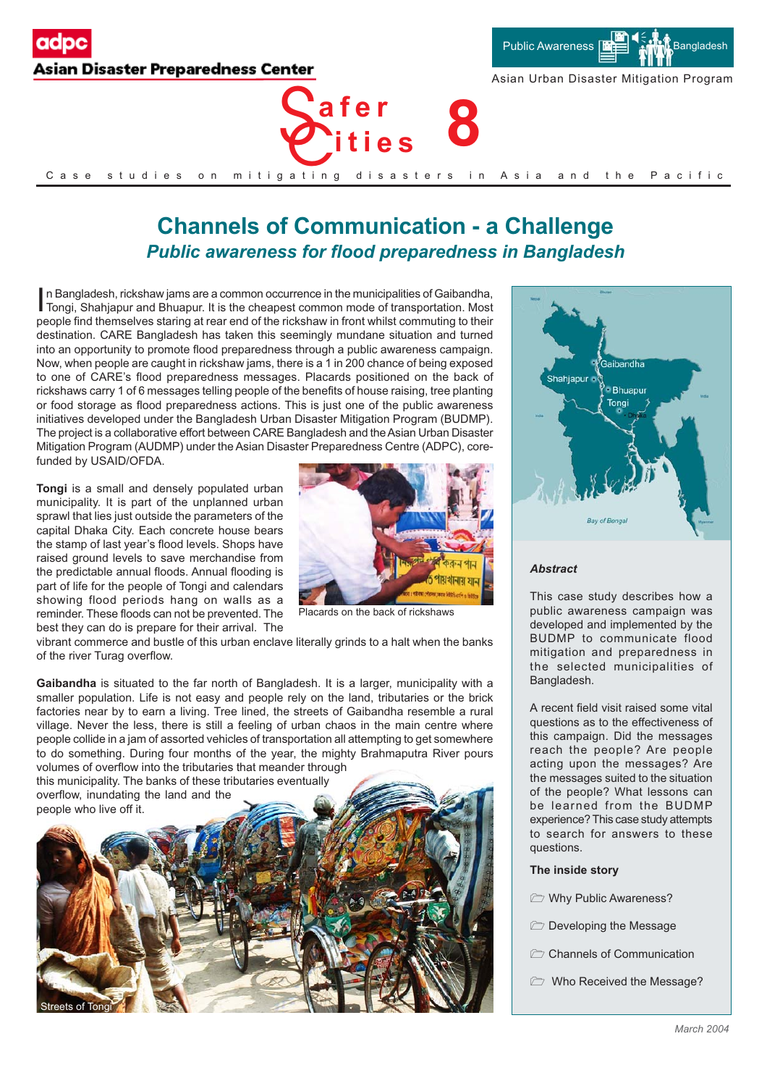



Asian Urban Disaster Mitigation Program



### Case studies on mitigating disasters in Asia and the Pacific

# **Channels of Communication - a Challenge** *Public awareness for flood preparedness in Bangladesh*

In Bangladesh, rickshaw jams are a common occurrence in the municipalities of Gaibandha, Tongi, Shahjapur and Bhuapur. It is the cheapest common mode of transportation. Most  $\overline{\phantom{a}}$  n Bangladesh, rickshaw jams are a common occurrence in the municipalities of Gaibandha, people find themselves staring at rear end of the rickshaw in front whilst commuting to their destination. CARE Bangladesh has taken this seemingly mundane situation and turned into an opportunity to promote flood preparedness through a public awareness campaign. Now, when people are caught in rickshaw jams, there is a 1 in 200 chance of being exposed to one of CARE's flood preparedness messages. Placards positioned on the back of rickshaws carry 1 of 6 messages telling people of the benefits of house raising, tree planting or food storage as flood preparedness actions. This is just one of the public awareness initiatives developed under the Bangladesh Urban Disaster Mitigation Program (BUDMP). The project is a collaborative effort between CARE Bangladesh and the Asian Urban Disaster Mitigation Program (AUDMP) under the Asian Disaster Preparedness Centre (ADPC), corefunded by USAID/OFDA.

**Tongi** is a small and densely populated urban municipality. It is part of the unplanned urban sprawl that lies just outside the parameters of the capital Dhaka City. Each concrete house bears the stamp of last year's flood levels. Shops have raised ground levels to save merchandise from the predictable annual floods. Annual flooding is part of life for the people of Tongi and calendars showing flood periods hang on walls as a reminder. These floods can not be prevented. The best they can do is prepare for their arrival. The



Placards on the back of rickshaws

vibrant commerce and bustle of this urban enclave literally grinds to a halt when the banks of the river Turag overflow.

**Gaibandha** is situated to the far north of Bangladesh. It is a larger, municipality with a smaller population. Life is not easy and people rely on the land, tributaries or the brick factories near by to earn a living. Tree lined, the streets of Gaibandha resemble a rural village. Never the less, there is still a feeling of urban chaos in the main centre where people collide in a jam of assorted vehicles of transportation all attempting to get somewhere to do something. During four months of the year, the mighty Brahmaputra River pours volumes of overflow into the tributaries that meander through

this municipality. The banks of these tributaries eventually overflow, inundating the land and the





#### *Abstract*

This case study describes how a public awareness campaign was developed and implemented by the BUDMP to communicate flood mitigation and preparedness in the selected municipalities of Bangladesh.

A recent field visit raised some vital questions as to the effectiveness of this campaign. Did the messages reach the people? Are people acting upon the messages? Are the messages suited to the situation of the people? What lessons can be learned from the BUDMP experience? This case study attempts to search for answers to these questions.

#### **The inside story**

- **E** Why Public Awareness?
- **Developing the Message**
- $\triangleright$  Channels of Communication
- Who Received the Message?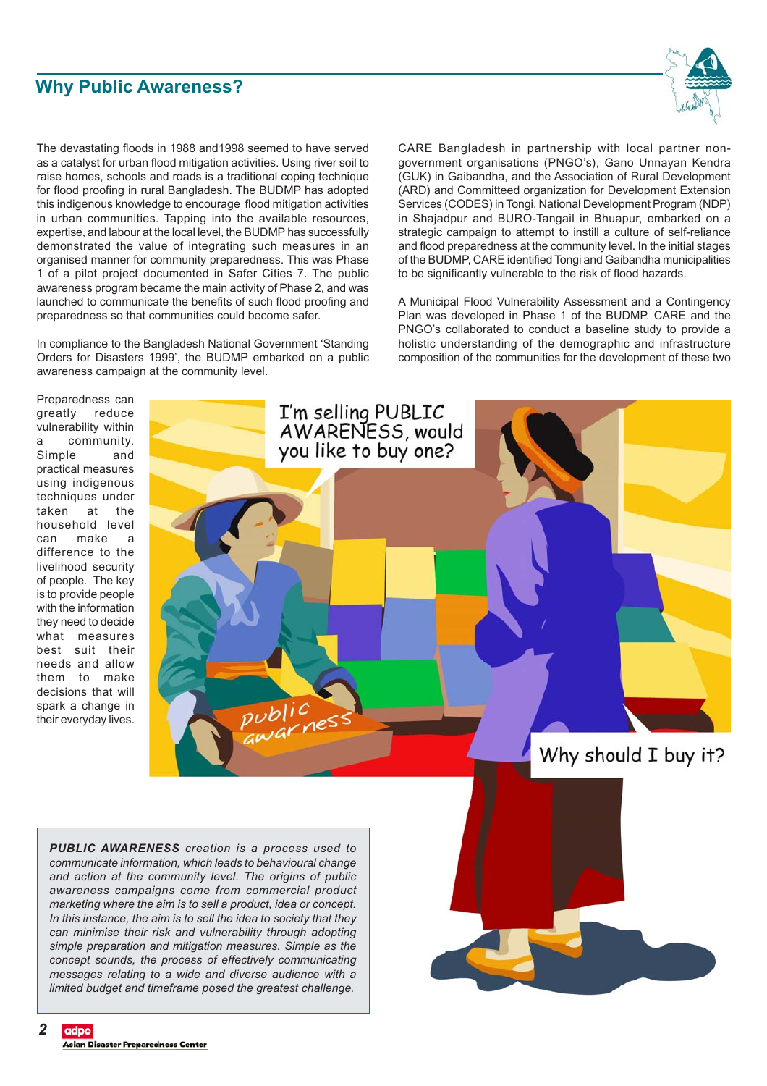## **Why Public Awareness?**



The devastating floods in 1988 and1998 seemed to have served as a catalyst for urban flood mitigation activities. Using river soil to raise homes, schools and roads is a traditional coping technique for flood proofing in rural Bangladesh. The BUDMP has adopted this indigenous knowledge to encourage flood mitigation activities in urban communities. Tapping into the available resources, expertise, and labour at the local level, the BUDMP has successfully demonstrated the value of integrating such measures in an organised manner for community preparedness. This was Phase 1 of a pilot project documented in Safer Cities 7. The public awareness program became the main activity of Phase 2, and was launched to communicate the benefits of such flood proofing and preparedness so that communities could become safer.

In compliance to the Bangladesh National Government 'Standing Orders for Disasters 1999', the BUDMP embarked on a public awareness campaign at the community level.

CARE Bangladesh in partnership with local partner nongovernment organisations (PNGO's), Gano Unnayan Kendra (GUK) in Gaibandha, and the Association of Rural Development (ARD) and Committeed organization for Development Extension Services (CODES) in Tongi, National Development Program (NDP) in Shajadpur and BURO-Tangail in Bhuapur, embarked on a strategic campaign to attempt to instill a culture of self-reliance and flood preparedness at the community level. In the initial stages of the BUDMP, CARE identified Tongi and Gaibandha municipalities to be significantly vulnerable to the risk of flood hazards.

A Municipal Flood Vulnerability Assessment and a Contingency Plan was developed in Phase 1 of the BUDMP. CARE and the PNGO's collaborated to conduct a baseline study to provide a holistic understanding of the demographic and infrastructure composition of the communities for the development of these two

Preparedness can greatly reduce vulnerability within a community.<br>Simple and Simple practical measures using indigenous techniques under taken at the household level can make a difference to the livelihood security of people. The key is to provide people with the information they need to decide what measures best suit their needs and allow them to make decisions that will spark a change in their everyday lives.



*PUBLIC AWARENESS creation is a process used to communicate information, which leads to behavioural change and action at the community level. The origins of public awareness campaigns come from commercial product marketing where the aim is to sell a product, idea or concept. In this instance, the aim is to sell the idea to society that they can minimise their risk and vulnerability through adopting simple preparation and mitigation measures. Simple as the concept sounds, the process of effectively communicating messages relating to a wide and diverse audience with a limited budget and timeframe posed the greatest challenge.*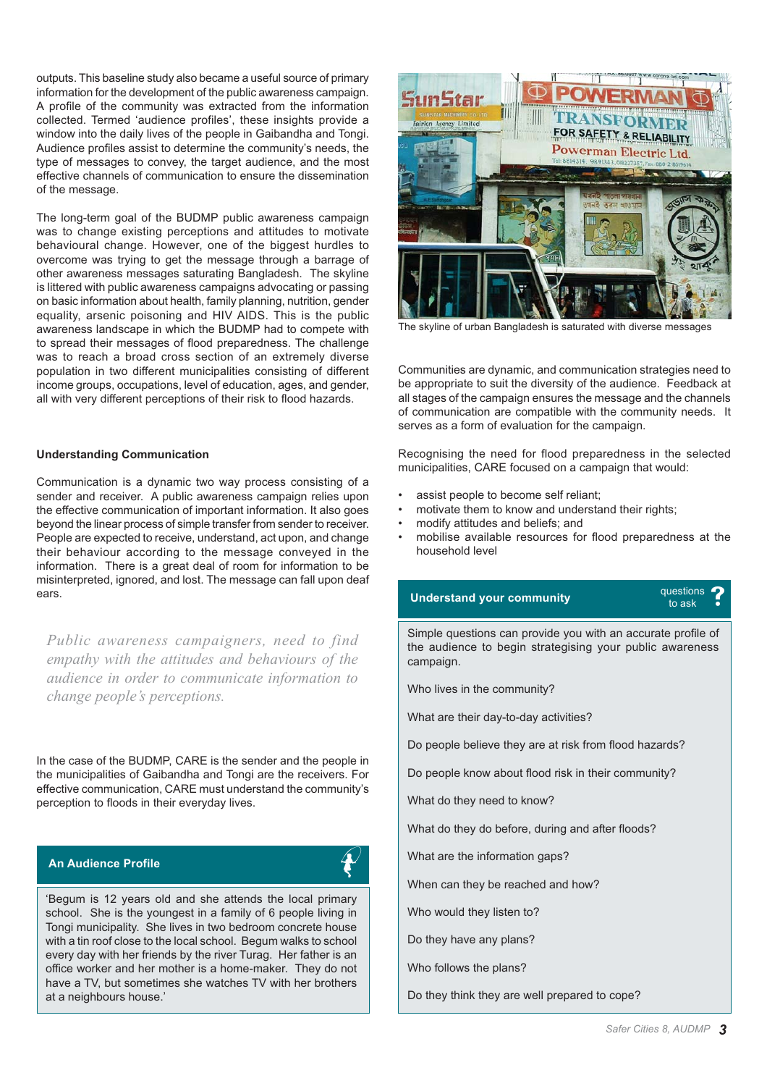outputs. This baseline study also became a useful source of primary information for the development of the public awareness campaign. A profile of the community was extracted from the information collected. Termed 'audience profiles', these insights provide a window into the daily lives of the people in Gaibandha and Tongi. Audience profiles assist to determine the community's needs, the type of messages to convey, the target audience, and the most effective channels of communication to ensure the dissemination of the message.

The long-term goal of the BUDMP public awareness campaign was to change existing perceptions and attitudes to motivate behavioural change. However, one of the biggest hurdles to overcome was trying to get the message through a barrage of other awareness messages saturating Bangladesh. The skyline is littered with public awareness campaigns advocating or passing on basic information about health, family planning, nutrition, gender equality, arsenic poisoning and HIV AIDS. This is the public awareness landscape in which the BUDMP had to compete with to spread their messages of flood preparedness. The challenge was to reach a broad cross section of an extremely diverse population in two different municipalities consisting of different income groups, occupations, level of education, ages, and gender, all with very different perceptions of their risk to flood hazards.

#### **Understanding Communication**

Communication is a dynamic two way process consisting of a sender and receiver. A public awareness campaign relies upon the effective communication of important information. It also goes beyond the linear process of simple transfer from sender to receiver. People are expected to receive, understand, act upon, and change their behaviour according to the message conveyed in the information. There is a great deal of room for information to be misinterpreted, ignored, and lost. The message can fall upon deaf ears.

*Public awareness campaigners, need to find empathy with the attitudes and behaviours of the audience in order to communicate information to change people's perceptions.*

In the case of the BUDMP, CARE is the sender and the people in the municipalities of Gaibandha and Tongi are the receivers. For effective communication, CARE must understand the community's perception to floods in their everyday lives.

#### **An Audience Profile** *w*



'Begum is 12 years old and she attends the local primary school. She is the youngest in a family of 6 people living in Tongi municipality. She lives in two bedroom concrete house with a tin roof close to the local school. Begum walks to school every day with her friends by the river Turag. Her father is an office worker and her mother is a home-maker. They do not have a TV, but sometimes she watches TV with her brothers at a neighbours house.'



The skyline of urban Bangladesh is saturated with diverse messages

Communities are dynamic, and communication strategies need to be appropriate to suit the diversity of the audience. Feedback at all stages of the campaign ensures the message and the channels of communication are compatible with the community needs. It serves as a form of evaluation for the campaign.

Recognising the need for flood preparedness in the selected municipalities, CARE focused on a campaign that would:

- assist people to become self reliant:
- motivate them to know and understand their rights;
- modify attitudes and beliefs; and
- mobilise available resources for flood preparedness at the household level

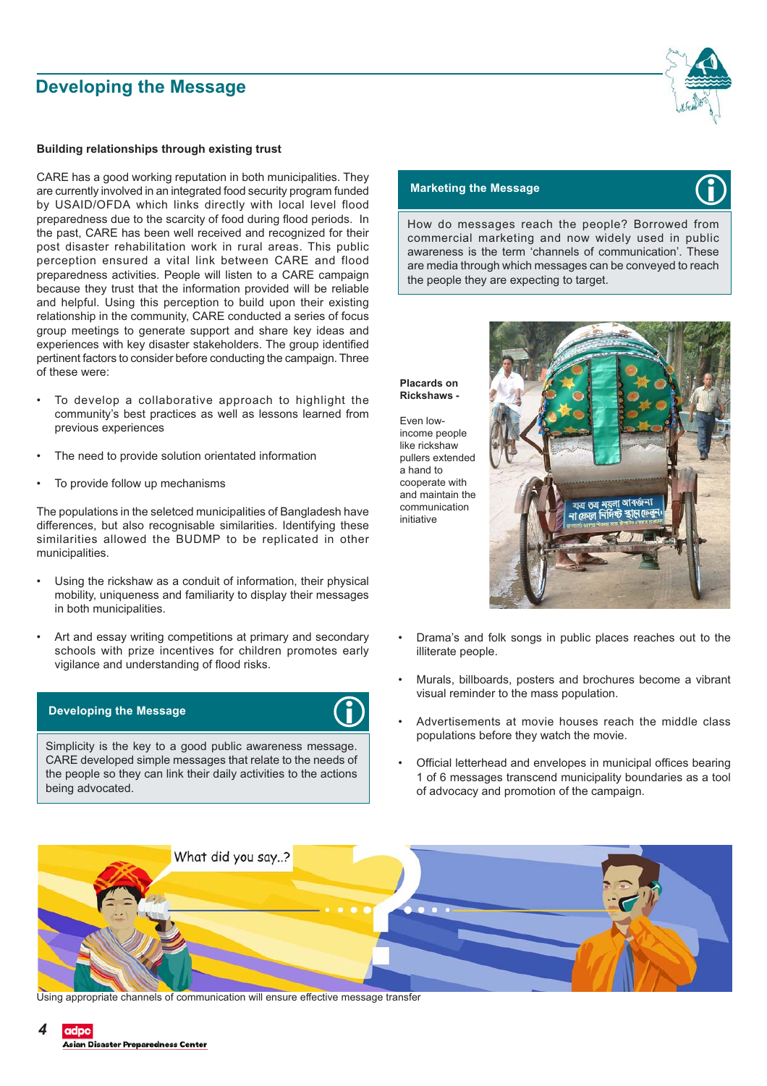# **Developing the Message**

#### **Building relationships through existing trust**

CARE has a good working reputation in both municipalities. They are currently involved in an integrated food security program funded by USAID/OFDA which links directly with local level flood preparedness due to the scarcity of food during flood periods. In the past, CARE has been well received and recognized for their post disaster rehabilitation work in rural areas. This public perception ensured a vital link between CARE and flood preparedness activities. People will listen to a CARE campaign because they trust that the information provided will be reliable and helpful. Using this perception to build upon their existing relationship in the community, CARE conducted a series of focus group meetings to generate support and share key ideas and experiences with key disaster stakeholders. The group identified pertinent factors to consider before conducting the campaign. Three of these were:

- To develop a collaborative approach to highlight the community's best practices as well as lessons learned from previous experiences
- The need to provide solution orientated information
- To provide follow up mechanisms

The populations in the seletced municipalities of Bangladesh have differences, but also recognisable similarities. Identifying these similarities allowed the BUDMP to be replicated in other municipalities.

- Using the rickshaw as a conduit of information, their physical mobility, uniqueness and familiarity to display their messages in both municipalities.
- Art and essay writing competitions at primary and secondary schools with prize incentives for children promotes early vigilance and understanding of flood risks.

#### **Developing the Message**



Simplicity is the key to a good public awareness message. CARE developed simple messages that relate to the needs of the people so they can link their daily activities to the actions being advocated.



#### **Marketing the Message**

How do messages reach the people? Borrowed from commercial marketing and now widely used in public awareness is the term 'channels of communication'. These are media through which messages can be conveyed to reach the people they are expecting to target.

**Placards on Rickshaws -**

Even lowincome people like rickshaw pullers extended a hand to cooperate with and maintain the communication initiative



- Drama's and folk songs in public places reaches out to the illiterate people.
- Murals, billboards, posters and brochures become a vibrant visual reminder to the mass population.
- Advertisements at movie houses reach the middle class populations before they watch the movie.
- Official letterhead and envelopes in municipal offices bearing 1 of 6 messages transcend municipality boundaries as a tool of advocacy and promotion of the campaign.



Using appropriate channels of communication will ensure effective message transfer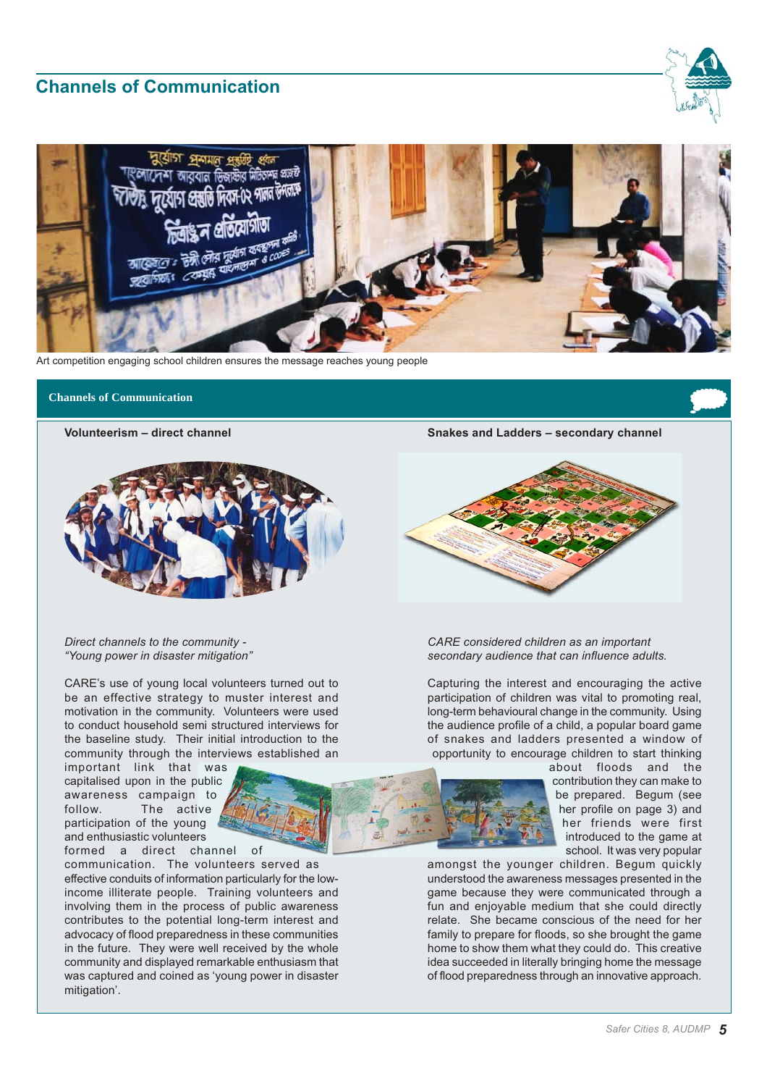# **Channels of Communication**





Art competition engaging school children ensures the message reaches young people

# **Channels of Communication**<br> **Channels of Communication**

**Volunteerism – direct channel**



*Direct channels to the community - "Young power in disaster mitigation"*

CARE's use of young local volunteers turned out to be an effective strategy to muster interest and motivation in the community. Volunteers were used to conduct household semi structured interviews for the baseline study. Their initial introduction to the community through the interviews established an

important link that was capitalised upon in the public awareness campaign to follow. The active participation of the young and enthusiastic volunteers

formed a direct channel of communication. The volunteers served as effective conduits of information particularly for the lowincome illiterate people. Training volunteers and involving them in the process of public awareness contributes to the potential long-term interest and advocacy of flood preparedness in these communities in the future. They were well received by the whole community and displayed remarkable enthusiasm that was captured and coined as 'young power in disaster mitigation'.



*CARE considered children as an important secondary audience that can influence adults.*

Capturing the interest and encouraging the active participation of children was vital to promoting real, long-term behavioural change in the community. Using the audience profile of a child, a popular board game of snakes and ladders presented a window of opportunity to encourage children to start thinking

> about floods and the contribution they can make to be prepared. Begum (see her profile on page 3) and her friends were first introduced to the game at school. It was very popular

amongst the younger children. Begum quickly understood the awareness messages presented in the game because they were communicated through a fun and enjoyable medium that she could directly relate. She became conscious of the need for her family to prepare for floods, so she brought the game home to show them what they could do. This creative idea succeeded in literally bringing home the message of flood preparedness through an innovative approach.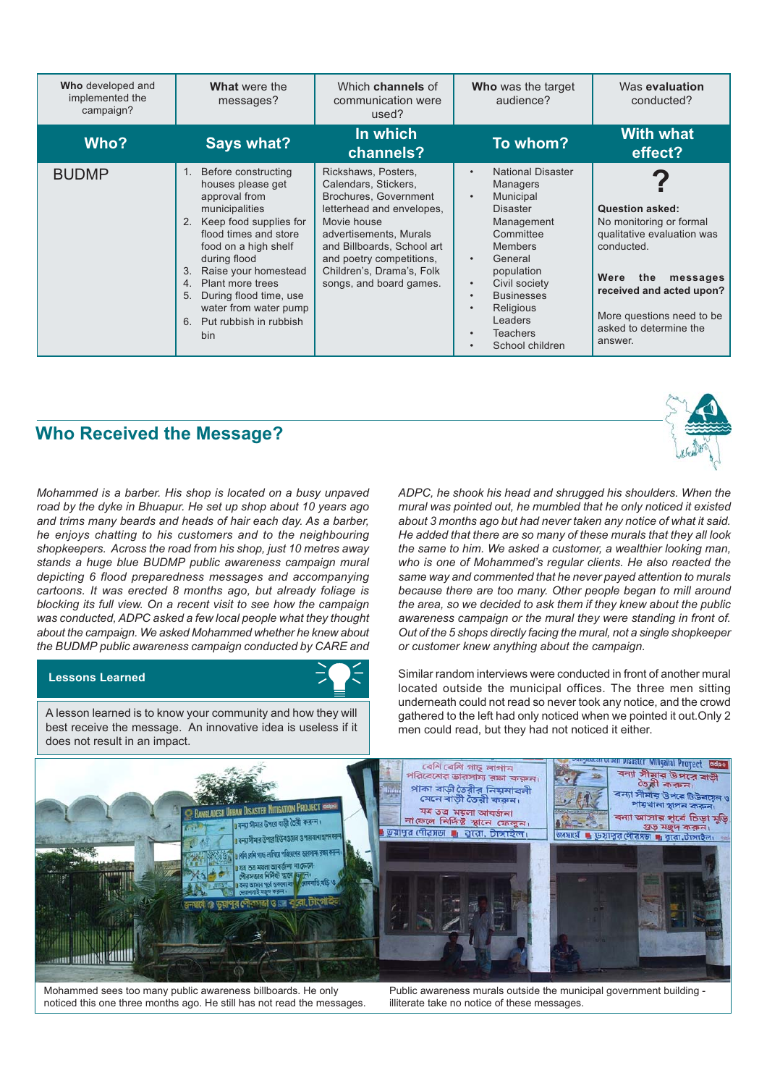| Who developed and<br>implemented the<br>campaign? | What were the<br>messages?                                                                                                                                                                                                                                                                                                                 | Which channels of<br>communication were<br>used?                                                                                                                                                                                                             | Who was the target<br>audience?                                                                                                                                                                                                                                                                           | Was evaluation<br>conducted?                                                                                                                                                                                           |
|---------------------------------------------------|--------------------------------------------------------------------------------------------------------------------------------------------------------------------------------------------------------------------------------------------------------------------------------------------------------------------------------------------|--------------------------------------------------------------------------------------------------------------------------------------------------------------------------------------------------------------------------------------------------------------|-----------------------------------------------------------------------------------------------------------------------------------------------------------------------------------------------------------------------------------------------------------------------------------------------------------|------------------------------------------------------------------------------------------------------------------------------------------------------------------------------------------------------------------------|
| Who?                                              | <b>Says what?</b>                                                                                                                                                                                                                                                                                                                          | In which<br>channels?                                                                                                                                                                                                                                        | To whom?                                                                                                                                                                                                                                                                                                  | <b>With what</b><br>effect?                                                                                                                                                                                            |
| <b>BUDMP</b>                                      | Before constructing<br>1.<br>houses please get<br>approval from<br>municipalities<br>Keep food supplies for<br>2.<br>flood times and store<br>food on a high shelf<br>during flood<br>Raise your homestead<br>3.<br>Plant more trees<br>4.<br>During flood time, use<br>5.<br>water from water pump<br>Put rubbish in rubbish<br>6.<br>bin | Rickshaws, Posters,<br>Calendars, Stickers,<br>Brochures, Government<br>letterhead and envelopes,<br>Movie house<br>advertisements, Murals<br>and Billboards, School art<br>and poetry competitions,<br>Children's, Drama's, Folk<br>songs, and board games. | <b>National Disaster</b><br>$\bullet$<br><b>Managers</b><br>Municipal<br>$\bullet$<br><b>Disaster</b><br>Management<br>Committee<br><b>Members</b><br>General<br>$\bullet$<br>population<br>Civil society<br><b>Businesses</b><br>$\bullet$<br>Religious<br>Leaders<br><b>Teachers</b><br>School children | <b>Question asked:</b><br>No monitoring or formal<br>qualitative evaluation was<br>conducted.<br>Were<br>the<br>messages<br>received and acted upon?<br>More questions need to be<br>asked to determine the<br>answer. |

# **Who Received the Message?**

*Mohammed is a barber. His shop is located on a busy unpaved road by the dyke in Bhuapur. He set up shop about 10 years ago and trims many beards and heads of hair each day. As a barber, he enjoys chatting to his customers and to the neighbouring shopkeepers. Across the road from his shop, just 10 metres away stands a huge blue BUDMP public awareness campaign mural depicting 6 flood preparedness messages and accompanying cartoons. It was erected 8 months ago, but already foliage is blocking its full view. On a recent visit to see how the campaign was conducted, ADPC asked a few local people what they thought about the campaign. We asked Mohammed whether he knew about the BUDMP public awareness campaign conducted by CARE and*

#### **Lessons Learned**

A lesson learned is to know your community and how they will best receive the message. An innovative idea is useless if it does not result in an impact.



Similar random interviews were conducted in front of another mural located outside the municipal offices. The three men sitting underneath could not read so never took any notice, and the crowd gathered to the left had only noticed when we pointed it out.Only 2 men could read, but they had not noticed it either.



Mohammed sees too many public awareness billboards. He only noticed this one three months ago. He still has not read the messages.

Public awareness murals outside the municipal government building illiterate take no notice of these messages.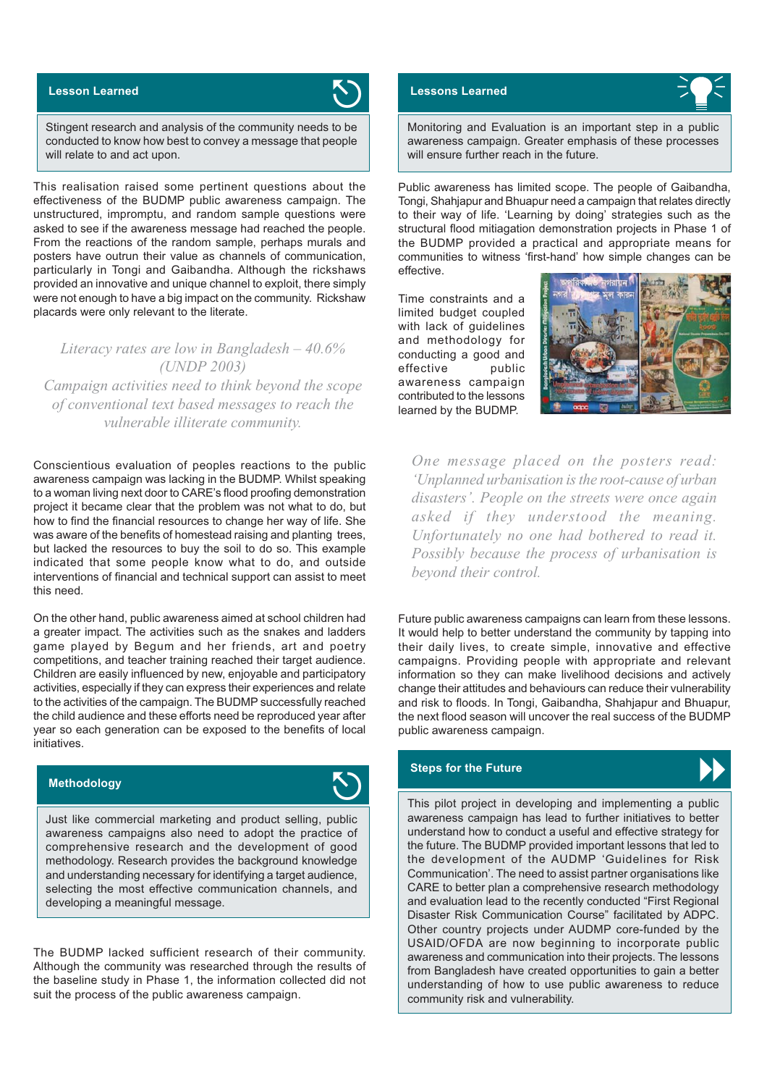### **Lesson Learned**



Stingent research and analysis of the community needs to be conducted to know how best to convey a message that people will relate to and act upon.

This realisation raised some pertinent questions about the effectiveness of the BUDMP public awareness campaign. The unstructured, impromptu, and random sample questions were asked to see if the awareness message had reached the people. From the reactions of the random sample, perhaps murals and posters have outrun their value as channels of communication, particularly in Tongi and Gaibandha. Although the rickshaws provided an innovative and unique channel to exploit, there simply were not enough to have a big impact on the community. Rickshaw placards were only relevant to the literate.

*Literacy rates are low in Bangladesh – 40.6% (UNDP 2003) Campaign activities need to think beyond the scope of conventional text based messages to reach the vulnerable illiterate community.*

Conscientious evaluation of peoples reactions to the public awareness campaign was lacking in the BUDMP. Whilst speaking to a woman living next door to CARE's flood proofing demonstration project it became clear that the problem was not what to do, but how to find the financial resources to change her way of life. She was aware of the benefits of homestead raising and planting trees, but lacked the resources to buy the soil to do so. This example indicated that some people know what to do, and outside interventions of financial and technical support can assist to meet this need.

On the other hand, public awareness aimed at school children had a greater impact. The activities such as the snakes and ladders game played by Begum and her friends, art and poetry competitions, and teacher training reached their target audience. Children are easily influenced by new, enjoyable and participatory activities, especially if they can express their experiences and relate to the activities of the campaign. The BUDMP successfully reached the child audience and these efforts need be reproduced year after year so each generation can be exposed to the benefits of local initiatives.



Just like commercial marketing and product selling, public awareness campaigns also need to adopt the practice of comprehensive research and the development of good methodology. Research provides the background knowledge and understanding necessary for identifying a target audience, selecting the most effective communication channels, and developing a meaningful message.

The BUDMP lacked sufficient research of their community. Although the community was researched through the results of the baseline study in Phase 1, the information collected did not suit the process of the public awareness campaign.

#### **Lessons Learned**



Monitoring and Evaluation is an important step in a public awareness campaign. Greater emphasis of these processes will ensure further reach in the future.

Public awareness has limited scope. The people of Gaibandha, Tongi, Shahjapur and Bhuapur need a campaign that relates directly to their way of life. 'Learning by doing' strategies such as the structural flood mitiagation demonstration projects in Phase 1 of the BUDMP provided a practical and appropriate means for communities to witness 'first-hand' how simple changes can be effective.

Time constraints and a limited budget coupled with lack of guidelines and methodology for conducting a good and effective public awareness campaign contributed to the lessons learned by the BUDMP.



*One message placed on the posters read: 'Unplanned urbanisation is the root-cause of urban disasters'. People on the streets were once again asked if they understood the meaning. Unfortunately no one had bothered to read it. Possibly because the process of urbanisation is beyond their control.*

Future public awareness campaigns can learn from these lessons. It would help to better understand the community by tapping into their daily lives, to create simple, innovative and effective campaigns. Providing people with appropriate and relevant information so they can make livelihood decisions and actively change their attitudes and behaviours can reduce their vulnerability and risk to floods. In Tongi, Gaibandha, Shahjapur and Bhuapur, the next flood season will uncover the real success of the BUDMP public awareness campaign.

#### **Steps for the Future**



**Methodology**<br> **Examplementing a public** and implementing a public project in developing and implementing a public awareness campaign has lead to further initiatives to better understand how to conduct a useful and effective strategy for the future. The BUDMP provided important lessons that led to the development of the AUDMP 'Guidelines for Risk Communication'. The need to assist partner organisations like CARE to better plan a comprehensive research methodology and evaluation lead to the recently conducted "First Regional Disaster Risk Communication Course" facilitated by ADPC. Other country projects under AUDMP core-funded by the USAID/OFDA are now beginning to incorporate public awareness and communication into their projects. The lessons from Bangladesh have created opportunities to gain a better understanding of how to use public awareness to reduce community risk and vulnerability.